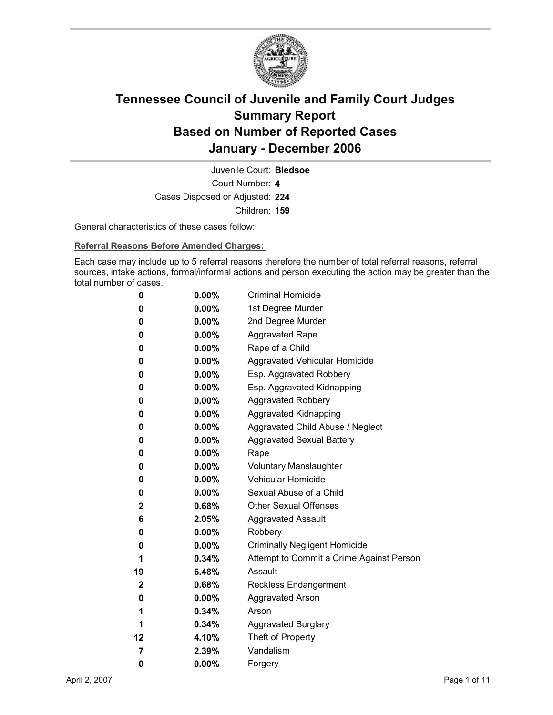

Court Number: **4** Juvenile Court: **Bledsoe** Cases Disposed or Adjusted: **224** Children: **159**

General characteristics of these cases follow:

**Referral Reasons Before Amended Charges:** 

Each case may include up to 5 referral reasons therefore the number of total referral reasons, referral sources, intake actions, formal/informal actions and person executing the action may be greater than the total number of cases.

| 0              | $0.00\%$ | <b>Criminal Homicide</b>                 |
|----------------|----------|------------------------------------------|
| 0              | $0.00\%$ | 1st Degree Murder                        |
| 0              | $0.00\%$ | 2nd Degree Murder                        |
| 0              | $0.00\%$ | <b>Aggravated Rape</b>                   |
| 0              | $0.00\%$ | Rape of a Child                          |
| 0              | $0.00\%$ | Aggravated Vehicular Homicide            |
| 0              | $0.00\%$ | Esp. Aggravated Robbery                  |
| 0              | $0.00\%$ | Esp. Aggravated Kidnapping               |
| 0              | $0.00\%$ | <b>Aggravated Robbery</b>                |
| 0              | $0.00\%$ | <b>Aggravated Kidnapping</b>             |
| 0              | $0.00\%$ | Aggravated Child Abuse / Neglect         |
| 0              | $0.00\%$ | <b>Aggravated Sexual Battery</b>         |
| 0              | $0.00\%$ | Rape                                     |
| 0              | $0.00\%$ | <b>Voluntary Manslaughter</b>            |
| 0              | $0.00\%$ | <b>Vehicular Homicide</b>                |
| 0              | $0.00\%$ | Sexual Abuse of a Child                  |
| $\mathbf{2}$   | $0.68\%$ | <b>Other Sexual Offenses</b>             |
| 6              | $2.05\%$ | <b>Aggravated Assault</b>                |
| 0              | $0.00\%$ | Robbery                                  |
| 0              | $0.00\%$ | <b>Criminally Negligent Homicide</b>     |
| 1              | $0.34\%$ | Attempt to Commit a Crime Against Person |
| 19             | 6.48%    | Assault                                  |
| $\mathbf{2}$   | 0.68%    | Reckless Endangerment                    |
| 0              | $0.00\%$ | <b>Aggravated Arson</b>                  |
| 1              | $0.34\%$ | Arson                                    |
| 1              | $0.34\%$ | <b>Aggravated Burglary</b>               |
| 12             | 4.10%    | Theft of Property                        |
| $\overline{7}$ | $2.39\%$ | Vandalism                                |
| 0              | 0.00%    | Forgery                                  |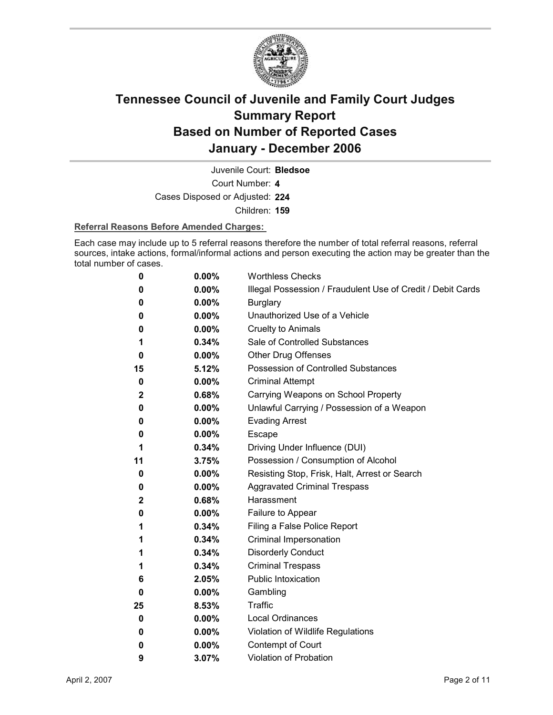

Juvenile Court: **Bledsoe**

Court Number: **4**

Cases Disposed or Adjusted: **224**

Children: **159**

### **Referral Reasons Before Amended Charges:**

Each case may include up to 5 referral reasons therefore the number of total referral reasons, referral sources, intake actions, formal/informal actions and person executing the action may be greater than the total number of cases.

| 0           | 0.00%    | <b>Worthless Checks</b>                                     |
|-------------|----------|-------------------------------------------------------------|
| 0           | 0.00%    | Illegal Possession / Fraudulent Use of Credit / Debit Cards |
| 0           | $0.00\%$ | <b>Burglary</b>                                             |
| 0           | 0.00%    | Unauthorized Use of a Vehicle                               |
| 0           | $0.00\%$ | <b>Cruelty to Animals</b>                                   |
| 1           | 0.34%    | Sale of Controlled Substances                               |
| 0           | $0.00\%$ | <b>Other Drug Offenses</b>                                  |
| 15          | 5.12%    | Possession of Controlled Substances                         |
| 0           | 0.00%    | <b>Criminal Attempt</b>                                     |
| $\mathbf 2$ | 0.68%    | Carrying Weapons on School Property                         |
| 0           | 0.00%    | Unlawful Carrying / Possession of a Weapon                  |
| 0           | $0.00\%$ | <b>Evading Arrest</b>                                       |
| 0           | 0.00%    | Escape                                                      |
| 1           | 0.34%    | Driving Under Influence (DUI)                               |
| 11          | 3.75%    | Possession / Consumption of Alcohol                         |
| 0           | $0.00\%$ | Resisting Stop, Frisk, Halt, Arrest or Search               |
| 0           | 0.00%    | <b>Aggravated Criminal Trespass</b>                         |
| 2           | 0.68%    | Harassment                                                  |
| 0           | $0.00\%$ | Failure to Appear                                           |
| 1           | 0.34%    | Filing a False Police Report                                |
| 1           | 0.34%    | Criminal Impersonation                                      |
| 1           | 0.34%    | <b>Disorderly Conduct</b>                                   |
| 1           | 0.34%    | <b>Criminal Trespass</b>                                    |
| 6           | 2.05%    | <b>Public Intoxication</b>                                  |
| 0           | $0.00\%$ | Gambling                                                    |
| 25          | 8.53%    | <b>Traffic</b>                                              |
| 0           | 0.00%    | <b>Local Ordinances</b>                                     |
| 0           | 0.00%    | Violation of Wildlife Regulations                           |
| 0           | $0.00\%$ | Contempt of Court                                           |
| 9           | 3.07%    | <b>Violation of Probation</b>                               |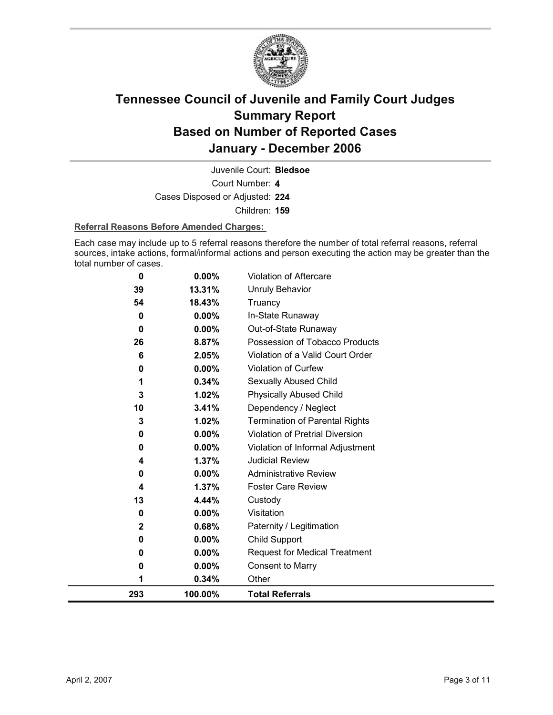

Juvenile Court: **Bledsoe**

Court Number: **4**

Cases Disposed or Adjusted: **224**

Children: **159**

### **Referral Reasons Before Amended Charges:**

Each case may include up to 5 referral reasons therefore the number of total referral reasons, referral sources, intake actions, formal/informal actions and person executing the action may be greater than the total number of cases.

| $\bf{0}$     | 0.00%    | Violation of Aftercare                 |
|--------------|----------|----------------------------------------|
| 39           | 13.31%   | <b>Unruly Behavior</b>                 |
| 54           | 18.43%   | Truancy                                |
| 0            | $0.00\%$ | In-State Runaway                       |
| $\bf{0}$     | $0.00\%$ | Out-of-State Runaway                   |
| 26           | 8.87%    | Possession of Tobacco Products         |
| 6            | 2.05%    | Violation of a Valid Court Order       |
| 0            | 0.00%    | Violation of Curfew                    |
| 1            | 0.34%    | Sexually Abused Child                  |
| 3            | 1.02%    | <b>Physically Abused Child</b>         |
| 10           | 3.41%    | Dependency / Neglect                   |
| 3            | 1.02%    | <b>Termination of Parental Rights</b>  |
| 0            | 0.00%    | <b>Violation of Pretrial Diversion</b> |
| $\bf{0}$     | 0.00%    | Violation of Informal Adjustment       |
| 4            | 1.37%    | <b>Judicial Review</b>                 |
| 0            | 0.00%    | <b>Administrative Review</b>           |
| 4            | 1.37%    | <b>Foster Care Review</b>              |
| 13           | 4.44%    | Custody                                |
| 0            | $0.00\%$ | Visitation                             |
| $\mathbf{2}$ | 0.68%    | Paternity / Legitimation               |
| 0            | $0.00\%$ | <b>Child Support</b>                   |
| 0            | $0.00\%$ | <b>Request for Medical Treatment</b>   |
| 0            | $0.00\%$ | Consent to Marry                       |
| 1            | 0.34%    | Other                                  |
| 293          | 100.00%  | <b>Total Referrals</b>                 |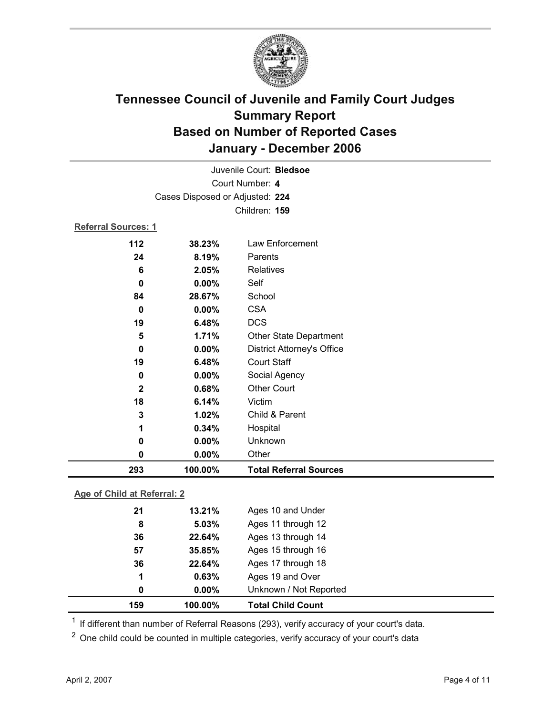

|                 |                                 | Juvenile Court: Bledsoe           |  |  |
|-----------------|---------------------------------|-----------------------------------|--|--|
| Court Number: 4 |                                 |                                   |  |  |
|                 | Cases Disposed or Adjusted: 224 |                                   |  |  |
|                 |                                 | Children: 159                     |  |  |
|                 | Referral Sources: 1             |                                   |  |  |
| 112             | 38.23%                          | Law Enforcement                   |  |  |
| 24              | 8.19%                           | Parents                           |  |  |
| 6               | 2.05%                           | <b>Relatives</b>                  |  |  |
| 0               | $0.00\%$                        | Self                              |  |  |
| 84              | 28.67%                          | School                            |  |  |
| $\bf{0}$        | 0.00%                           | <b>CSA</b>                        |  |  |
| 19              | 6.48%                           | <b>DCS</b>                        |  |  |
| 5               | 1.71%                           | <b>Other State Department</b>     |  |  |
| $\bf{0}$        | 0.00%                           | <b>District Attorney's Office</b> |  |  |
| 19              | 6.48%                           | <b>Court Staff</b>                |  |  |
| 0               | 0.00%                           | Social Agency                     |  |  |
| $\mathbf 2$     | 0.68%                           | <b>Other Court</b>                |  |  |
| 18              | 6.14%                           | Victim                            |  |  |
| 3               | 1.02%                           | Child & Parent                    |  |  |
| 1               | 0.34%                           | Hospital                          |  |  |
| 0               | 0.00%                           | Unknown                           |  |  |
| 0               | 0.00%                           | Other                             |  |  |
| 293             | 100.00%                         | <b>Total Referral Sources</b>     |  |  |

### **Age of Child at Referral: 2**

| 159 | 100.00%       | <b>Total Child Count</b> |
|-----|---------------|--------------------------|
|     | $0.00\%$<br>0 | Unknown / Not Reported   |
|     | 1<br>0.63%    | Ages 19 and Over         |
| 36  | 22.64%        | Ages 17 through 18       |
| 57  | 35.85%        | Ages 15 through 16       |
| 36  | 22.64%        | Ages 13 through 14       |
|     | 5.03%<br>8    | Ages 11 through 12       |
| 21  | 13.21%        | Ages 10 and Under        |
|     |               |                          |

<sup>1</sup> If different than number of Referral Reasons (293), verify accuracy of your court's data.

<sup>2</sup> One child could be counted in multiple categories, verify accuracy of your court's data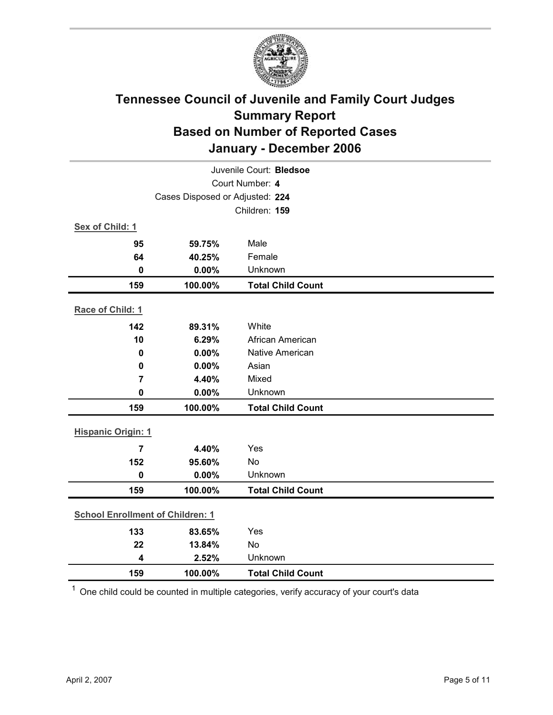

| Juvenile Court: Bledsoe                 |                                 |                          |  |  |
|-----------------------------------------|---------------------------------|--------------------------|--|--|
| Court Number: 4                         |                                 |                          |  |  |
|                                         | Cases Disposed or Adjusted: 224 |                          |  |  |
|                                         |                                 | Children: 159            |  |  |
| Sex of Child: 1                         |                                 |                          |  |  |
| 95                                      | 59.75%                          | Male                     |  |  |
| 64                                      | 40.25%                          | Female                   |  |  |
| 0                                       | 0.00%                           | Unknown                  |  |  |
| 159                                     | 100.00%                         | <b>Total Child Count</b> |  |  |
| Race of Child: 1                        |                                 |                          |  |  |
| 142                                     | 89.31%                          | White                    |  |  |
| 10                                      | 6.29%                           | African American         |  |  |
| 0                                       | 0.00%                           | <b>Native American</b>   |  |  |
| $\mathbf 0$                             | 0.00%                           | Asian                    |  |  |
| $\overline{7}$                          | 4.40%                           | Mixed                    |  |  |
| $\mathbf 0$                             | 0.00%                           | Unknown                  |  |  |
| 159                                     | 100.00%                         | <b>Total Child Count</b> |  |  |
| <b>Hispanic Origin: 1</b>               |                                 |                          |  |  |
| $\overline{7}$                          | 4.40%                           | Yes                      |  |  |
| 152                                     | 95.60%                          | No                       |  |  |
| $\mathbf 0$                             | 0.00%                           | Unknown                  |  |  |
| 159                                     | 100.00%                         | <b>Total Child Count</b> |  |  |
| <b>School Enrollment of Children: 1</b> |                                 |                          |  |  |
| 133                                     | 83.65%                          | Yes                      |  |  |
| 22                                      | 13.84%                          | No                       |  |  |
| $\overline{\mathbf{4}}$                 | 2.52%                           | Unknown                  |  |  |
| 159                                     | 100.00%                         | <b>Total Child Count</b> |  |  |

 $1$  One child could be counted in multiple categories, verify accuracy of your court's data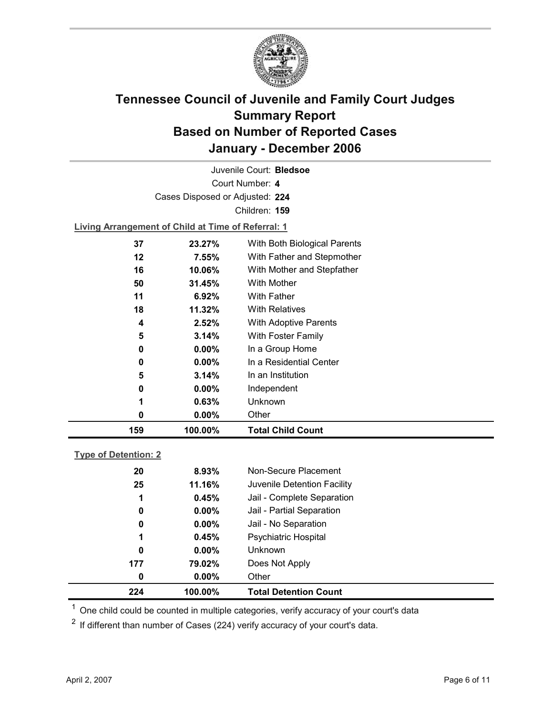

Court Number: **4** Juvenile Court: **Bledsoe** Cases Disposed or Adjusted: **224** Children: **159**

**Living Arrangement of Child at Time of Referral: 1**

| 159 | 100.00%   | <b>Total Child Count</b>     |
|-----|-----------|------------------------------|
| 0   | $0.00\%$  | Other                        |
| 1   | 0.63%     | Unknown                      |
| 0   | $0.00\%$  | Independent                  |
| 5   | 3.14%     | In an Institution            |
| 0   | $0.00\%$  | In a Residential Center      |
| 0   | $0.00\%$  | In a Group Home              |
| 5   | 3.14%     | With Foster Family           |
| 4   | 2.52%     | With Adoptive Parents        |
| 18  | $11.32\%$ | <b>With Relatives</b>        |
| 11  | 6.92%     | <b>With Father</b>           |
| 50  | 31.45%    | With Mother                  |
| 16  | 10.06%    | With Mother and Stepfather   |
| 12  | 7.55%     | With Father and Stepmother   |
| 37  | 23.27%    | With Both Biological Parents |
|     |           |                              |

### **Type of Detention: 2**

| 224 | 100.00%  | <b>Total Detention Count</b> |
|-----|----------|------------------------------|
| 0   | $0.00\%$ | Other                        |
| 177 | 79.02%   | Does Not Apply               |
| 0   | $0.00\%$ | <b>Unknown</b>               |
| 1   | 0.45%    | <b>Psychiatric Hospital</b>  |
| 0   | $0.00\%$ | Jail - No Separation         |
| 0   | $0.00\%$ | Jail - Partial Separation    |
| 1   | 0.45%    | Jail - Complete Separation   |
| 25  | 11.16%   | Juvenile Detention Facility  |
| 20  | 8.93%    | Non-Secure Placement         |
|     |          |                              |

 $<sup>1</sup>$  One child could be counted in multiple categories, verify accuracy of your court's data</sup>

 $2$  If different than number of Cases (224) verify accuracy of your court's data.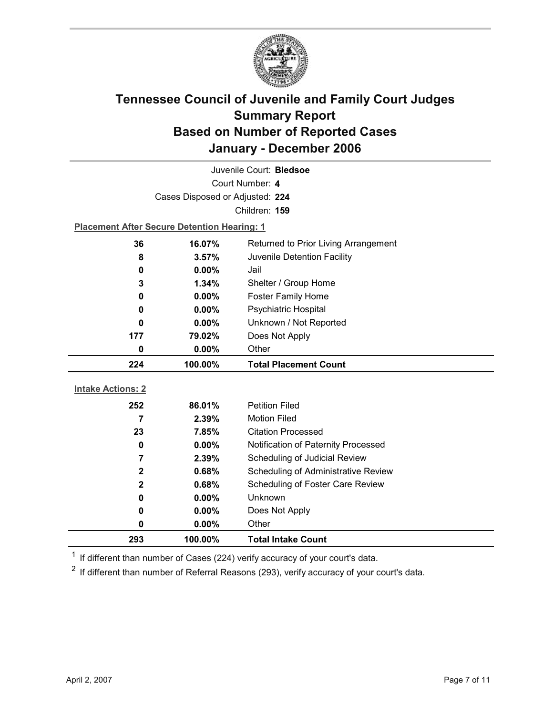

| Juvenile Court: Bledsoe  |                                                    |                                                    |  |  |
|--------------------------|----------------------------------------------------|----------------------------------------------------|--|--|
| Court Number: 4          |                                                    |                                                    |  |  |
|                          | Cases Disposed or Adjusted: 224                    |                                                    |  |  |
|                          |                                                    | Children: 159                                      |  |  |
|                          | <b>Placement After Secure Detention Hearing: 1</b> |                                                    |  |  |
| 36                       | 16.07%                                             | Returned to Prior Living Arrangement               |  |  |
| 8                        | 3.57%                                              | Juvenile Detention Facility                        |  |  |
| 0                        | $0.00\%$                                           | Jail                                               |  |  |
| 3                        | 1.34%                                              | Shelter / Group Home                               |  |  |
| 0                        | $0.00\%$                                           | <b>Foster Family Home</b>                          |  |  |
| 0                        | 0.00%                                              | Psychiatric Hospital                               |  |  |
| 0                        | 0.00%                                              | Unknown / Not Reported                             |  |  |
| 177                      | 79.02%                                             | Does Not Apply                                     |  |  |
| 0                        | 0.00%                                              | Other                                              |  |  |
|                          |                                                    |                                                    |  |  |
| 224                      | 100.00%                                            | <b>Total Placement Count</b>                       |  |  |
|                          |                                                    |                                                    |  |  |
| <b>Intake Actions: 2</b> |                                                    |                                                    |  |  |
| 252                      | 86.01%                                             | <b>Petition Filed</b>                              |  |  |
| 7                        | 2.39%                                              | <b>Motion Filed</b>                                |  |  |
| 23                       | 7.85%                                              | <b>Citation Processed</b>                          |  |  |
| 0                        | $0.00\%$                                           | Notification of Paternity Processed                |  |  |
| 7                        | 2.39%                                              | Scheduling of Judicial Review                      |  |  |
| 2                        | 0.68%                                              | Scheduling of Administrative Review                |  |  |
| $\mathbf{2}$             | 0.68%                                              | Scheduling of Foster Care Review<br><b>Unknown</b> |  |  |
| 0                        | 0.00%                                              |                                                    |  |  |
| 0<br>0                   | $0.00\%$<br>0.00%                                  | Does Not Apply<br>Other                            |  |  |

 $1$  If different than number of Cases (224) verify accuracy of your court's data.

 $2$  If different than number of Referral Reasons (293), verify accuracy of your court's data.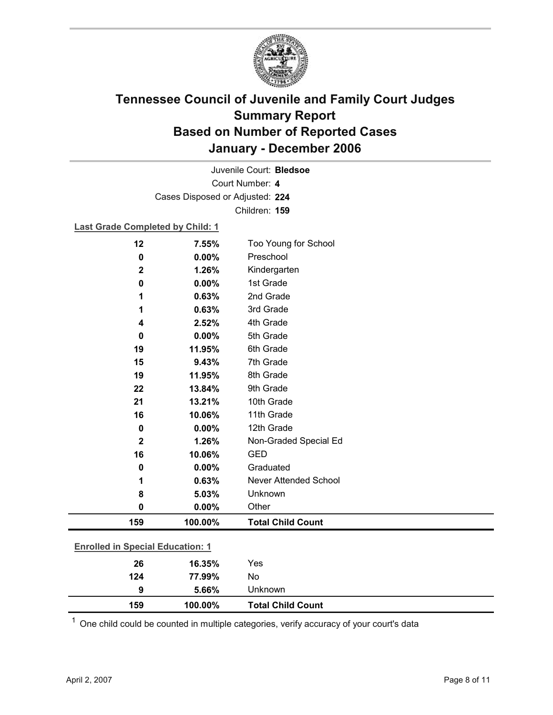

Court Number: **4** Juvenile Court: **Bledsoe** Cases Disposed or Adjusted: **224** Children: **159**

### **Last Grade Completed by Child: 1**

| 124                                     | 77.99%  | No                           |
|-----------------------------------------|---------|------------------------------|
| 26                                      | 16.35%  | Yes                          |
| <b>Enrolled in Special Education: 1</b> |         |                              |
| 159                                     | 100.00% | <b>Total Child Count</b>     |
| 0                                       | 0.00%   | Other                        |
| 8                                       | 5.03%   | Unknown                      |
| 1                                       | 0.63%   | <b>Never Attended School</b> |
| 0                                       | 0.00%   | Graduated                    |
| 16                                      | 10.06%  | <b>GED</b>                   |
| $\mathbf 2$                             | 1.26%   | Non-Graded Special Ed        |
| $\mathbf 0$                             | 0.00%   | 12th Grade                   |
| 16                                      | 10.06%  | 11th Grade                   |
| 21                                      | 13.21%  | 10th Grade                   |
| 22                                      | 13.84%  | 9th Grade                    |
| 19                                      | 11.95%  | 8th Grade                    |
| 15                                      | 9.43%   | 7th Grade                    |
| 19                                      | 11.95%  | 6th Grade                    |
| 0                                       | 0.00%   | 5th Grade                    |
| 4                                       | 2.52%   | 4th Grade                    |
| 1                                       | 0.63%   | 3rd Grade                    |
| 1                                       | 0.63%   | 2nd Grade                    |
| $\mathbf 0$                             | 0.00%   | 1st Grade                    |
| $\mathbf 2$                             | 1.26%   | Kindergarten                 |
| 0                                       | 0.00%   | Preschool                    |
| 12                                      | 7.55%   | Too Young for School         |

 $1$  One child could be counted in multiple categories, verify accuracy of your court's data

**9 5.66%** Unknown

**159 100.00% Total Child Count**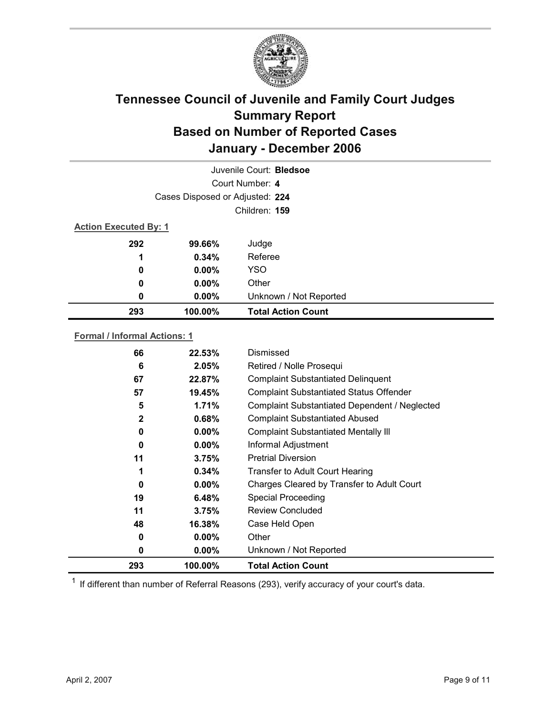

| Juvenile Court: Bledsoe |                                 |                           |  |  |
|-------------------------|---------------------------------|---------------------------|--|--|
|                         | Court Number: 4                 |                           |  |  |
|                         | Cases Disposed or Adjusted: 224 |                           |  |  |
|                         | Children: 159                   |                           |  |  |
|                         | <b>Action Executed By: 1</b>    |                           |  |  |
| 292                     | 99.66%                          | Judge                     |  |  |
| 1                       | 0.34%                           | Referee                   |  |  |
| 0                       | $0.00\%$                        | <b>YSO</b>                |  |  |
| 0                       | $0.00\%$                        | Other                     |  |  |
| 0                       | $0.00\%$                        | Unknown / Not Reported    |  |  |
| 293                     | 100.00%                         | <b>Total Action Count</b> |  |  |

### **Formal / Informal Actions: 1**

| 293          | 100.00%  | <b>Total Action Count</b>                      |
|--------------|----------|------------------------------------------------|
| 0            | $0.00\%$ | Unknown / Not Reported                         |
| 0            | $0.00\%$ | Other                                          |
| 48           | 16.38%   | Case Held Open                                 |
| 11           | 3.75%    | <b>Review Concluded</b>                        |
| 19           | 6.48%    | <b>Special Proceeding</b>                      |
| 0            | $0.00\%$ | Charges Cleared by Transfer to Adult Court     |
| 1            | 0.34%    | <b>Transfer to Adult Court Hearing</b>         |
| 11           | 3.75%    | <b>Pretrial Diversion</b>                      |
| 0            | $0.00\%$ | Informal Adjustment                            |
| 0            | $0.00\%$ | <b>Complaint Substantiated Mentally III</b>    |
| $\mathbf{2}$ | 0.68%    | <b>Complaint Substantiated Abused</b>          |
| 5            | 1.71%    | Complaint Substantiated Dependent / Neglected  |
| 57           | 19.45%   | <b>Complaint Substantiated Status Offender</b> |
| 67           | 22.87%   | <b>Complaint Substantiated Delinquent</b>      |
| 6            | 2.05%    | Retired / Nolle Prosequi                       |
| 66           | 22.53%   | Dismissed                                      |

 $1$  If different than number of Referral Reasons (293), verify accuracy of your court's data.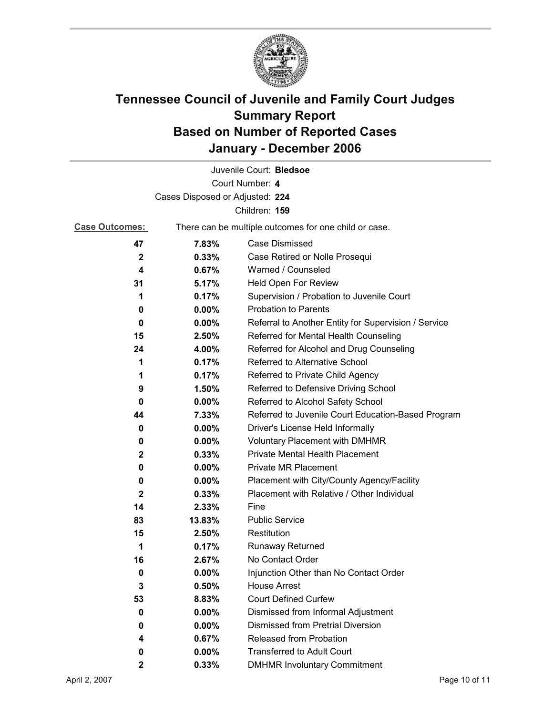

|                                 |                                                       | Juvenile Court: Bledsoe                              |
|---------------------------------|-------------------------------------------------------|------------------------------------------------------|
|                                 |                                                       | Court Number: 4                                      |
| Cases Disposed or Adjusted: 224 |                                                       |                                                      |
|                                 |                                                       | Children: 159                                        |
| <b>Case Outcomes:</b>           | There can be multiple outcomes for one child or case. |                                                      |
| 47                              | 7.83%                                                 | Case Dismissed                                       |
| $\mathbf{2}$                    | 0.33%                                                 | Case Retired or Nolle Prosequi                       |
| 4                               | 0.67%                                                 | Warned / Counseled                                   |
| 31                              | 5.17%                                                 | Held Open For Review                                 |
| 1                               | 0.17%                                                 | Supervision / Probation to Juvenile Court            |
| 0                               | 0.00%                                                 | <b>Probation to Parents</b>                          |
| 0                               | $0.00\%$                                              | Referral to Another Entity for Supervision / Service |
| 15                              | 2.50%                                                 | Referred for Mental Health Counseling                |
| 24                              | 4.00%                                                 | Referred for Alcohol and Drug Counseling             |
| 1                               | 0.17%                                                 | Referred to Alternative School                       |
| 1                               | 0.17%                                                 | Referred to Private Child Agency                     |
| 9                               | 1.50%                                                 | Referred to Defensive Driving School                 |
| 0                               | 0.00%                                                 | Referred to Alcohol Safety School                    |
| 44                              | 7.33%                                                 | Referred to Juvenile Court Education-Based Program   |
| 0                               | $0.00\%$                                              | Driver's License Held Informally                     |
| 0                               | $0.00\%$                                              | <b>Voluntary Placement with DMHMR</b>                |
| 2                               | 0.33%                                                 | Private Mental Health Placement                      |
| 0                               | $0.00\%$                                              | <b>Private MR Placement</b>                          |
| 0                               | $0.00\%$                                              | Placement with City/County Agency/Facility           |
| $\mathbf{2}$                    | 0.33%                                                 | Placement with Relative / Other Individual           |
| 14                              | 2.33%                                                 | Fine                                                 |
| 83                              | 13.83%                                                | <b>Public Service</b>                                |
| 15                              | 2.50%                                                 | Restitution                                          |
| 1                               | 0.17%                                                 | <b>Runaway Returned</b>                              |
| 16                              | 2.67%                                                 | No Contact Order                                     |
| 0                               | $0.00\%$                                              | Injunction Other than No Contact Order               |
| 3                               | 0.50%                                                 | <b>House Arrest</b>                                  |
| 53                              | 8.83%                                                 | <b>Court Defined Curfew</b>                          |
| 0                               | 0.00%                                                 | Dismissed from Informal Adjustment                   |
| 0                               | 0.00%                                                 | <b>Dismissed from Pretrial Diversion</b>             |
| 4                               | 0.67%                                                 | Released from Probation                              |
| 0                               | $0.00\%$                                              | <b>Transferred to Adult Court</b>                    |
| $\mathbf{2}$                    | 0.33%                                                 | <b>DMHMR Involuntary Commitment</b>                  |